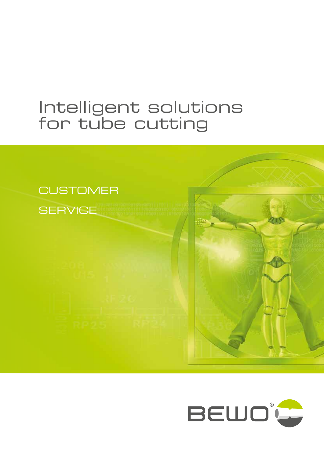# Intelligent solutions for tube cutting



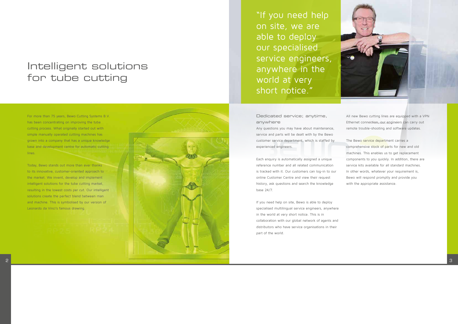

For more than 75 years, Bewo Cutting Systems B.V. has been concentrating on improving the tube cutting process. What originally started out with simple manually operated cutting machines has grown into a company that has a unique knowledge base and development centre for automatic cutting lines.

"If you need help on site, we are able to deploy our specialised service engineers, anywhere in the world at very short notice."

Today, Bewo stands out more than ever thanks to its innovative, customer-oriented approach to the market. We invent, develop and implement intelligent solutions for the tube cutting market, resulting in the lowest costs per cut. Our intelligent solutions create the perfect blend between man and machine. This is symbolised by our version of Leonardo da Vinci's famous drawing.

# Intelligent solutions for tube cutting

Dedicated service; anytime, anywhere

Any questions you may have about maintenance, service and parts will be dealt with by the Bewo customer service department, which is staffed by experienced engineers.

Each enquiry is automatically assigned a unique reference number and all related communication is tracked with it. Our customers can log-in to our online Customer Centre and view their request history, ask questions and search the knowledge base 24/7.

If you need help on site, Bewo is able to deploy specialised multilingual service engineers, anywhere in the world at very short notice. This is in collaboration with our global network of agents and distributors who have service organisations in their part of the world.



All new Bewo cutting lines are equipped with a VPN Ethernet connection, our engineers can carry out remote trouble-shooting and software updates.

The Bewo service department carries a comprehensive stock of parts for new and old machines. This enables us to get replacement components to you quickly. In addition, there are service kits available for all standard machines. In other words, whatever your requirement is, Bewo will respond promptly and provide you with the appropriate assistance.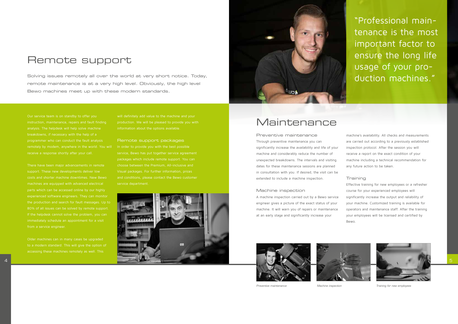

Our service team is on standby to offer you breakdowns, if necessary with the help of a programmer who can conduct the fault analysis remotely by modem, anywhere in the world. You will

support. These new developments deliver low machines are equipped with advanced electrical parts which can be accessed online by our highly experienced software engineers. They can monitor the production and search for fault messages. Up to 80% of all issues can be solved by remote support. immediately schedule an appointment for a visit from a service engineer.

Older machines can in many cases be upgraded accessing these machines remotely as well. This will definitely add value to the machine and your

Remote support packages In order to provide you with the best possible service, Bewo has put together service agreement choose between the Premium, All-inclusive and Visual packages. For further information, prices service department.

### Remote support

Solving issues remotely all over the world at very short notice. Today, remote maintenance is at a very high level. Obviously, the high level Bewo machines meet up with these modern standards.



Preventive maintenance Through preventive maintenance you can significantly increase the availability and life of your machine and considerably reduce the number of unexpected breakdowns. The intervals and visiting dates for these maintenance sessions are planned in consultation with you. If desired, the visit can be extended to include a machine inspection.

#### Machine inspection

A machine inspection carried out by a Bewo service engineer gives a picture of the exact status of your machine. It will warn you of repairs or maintenance at an early stage and significantly increase your





machine's availability. All checks and measurements are carried out according to a previously established inspection protocol. After the session you will receive a report on the exact condition of your machine including a technical recommendation for any future action to be taken.

#### Training

Effective training for new employees or a refresher course for your experienced employees will significantly increase the output and reliability of your machine. Customized training is available for operators and maintenance staff. After the training your employees will be licensed and certified by Bewo.

"Professional maintenance is the most important factor to ensure the long life usage of your production machines."

### Maintenance



*Preventive maintenance Machine inspection Training for new employees*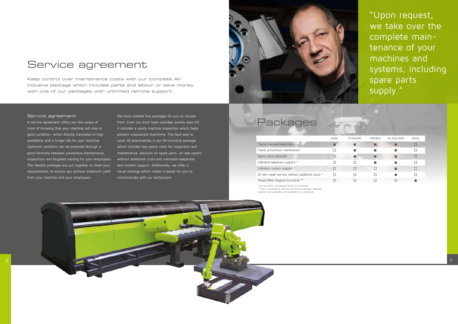

#### Service agreement

A service agreement offers you the peace of mind of knowing that your machine will stay in good condition, which directly translates to high availability and a longer life for your machine. Optimum condition can be achieved through a good harmony between preventive maintenance, inspections and targeted training for your employees. The flexible packages are put together to meet your requirements, to ensure you achieve maximum yield from your machine and your employees.

We have created five packages for you to choose from. Even our most basic package quickly pays off, it includes a yearly machine inspection which helps prevent unexpected downtime. The best way to cover all eventualities is our All-inclusive package which includes two yearly visits for inspection and maintenance, discount on spare parts, on-site repairs without additional costs and unlimited telephone and modem support. Additionally, we offer a visual package which makes it easier for you to communicate with our technicians.



\* Fair use policy, see general terms and conditions \*\* Only in combination with the all-inclusive package. Required hardware sold separately, not available for all machines

# Service agreement

Keep control over maintenance costs with our complete Allinclusive package which includes parts and labour or save money with one of our packages with unlimited remote support.

"Upon request, we take over the complete maintenance of your machines and systems, including spare parts supply."

| Packages                                            |              |                 |                |                      |               |  |  |
|-----------------------------------------------------|--------------|-----------------|----------------|----------------------|---------------|--|--|
|                                                     | <b>BASIC</b> | <b>STANDARD</b> | <b>PREMIUM</b> | <b>ALL-INCLUSIVE</b> | <b>VISUAL</b> |  |  |
| Yearly machine inspection                           |              |                 |                |                      |               |  |  |
| Yearly preventive maintenance                       |              |                 |                |                      |               |  |  |
| Spare parts discount                                | п            |                 |                |                      |               |  |  |
| Unlimited telephone support *                       |              |                 |                |                      |               |  |  |
| Unlimited modem support *                           | П            | П               | п              |                      |               |  |  |
| On site repair service without additional costs $*$ | п            |                 |                |                      |               |  |  |
| Visual Online Support (camera) **                   |              |                 |                |                      |               |  |  |

 $\odot$ 

### Packages

| Yearly machine inspection                         |  |  |  |
|---------------------------------------------------|--|--|--|
| Yearly preventive maintenance                     |  |  |  |
| Spare parts discount                              |  |  |  |
| Unlimited telephone support *                     |  |  |  |
| Unlimited modem support *                         |  |  |  |
| On site repair service without additional costs * |  |  |  |
| Visual Online Support (camera) **                 |  |  |  |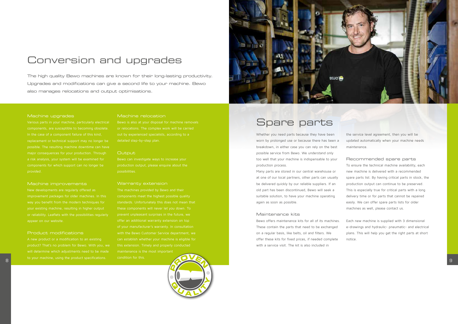



#### Machine upgrades

components, are susceptible to becoming obsolete. In the case of a component failure of this kind, replacement or technical support may no longer be possible. The resulting machine downtime can have components for which support can no longer be provided.

A new product or a modification to an existing will determine which adjustments need to be made

#### Machine improvements

New developments are regularly offered as improvement packages for older machines. In this or reliability. Leaflets with the possibilities regularly appear on our website.

Bewo can investigate ways to increase your possibilities.

#### Product modifications

#### Machine relocation

#### **Output**

#### Warranty extension

The machines provided by Bewo and their components meet the highest possible quality of your manufacturer's warranty. In consultation can establish whether your machine is eligible for maintenance is the most important

condition for this.

### Conversion and upgrades

The high quality Bewo machines are known for their long-lasting productivity. Upgrades and modifications can give a second life to your machine. Bewo also manages relocations and output optimisations.

Whether you need parts because they have been worn by prolonged use or because there has been a breakdown, in either case you can rely on the best possible service from Bewo. We understand only too well that your machine is indispensable to your production process.

Many parts are stored in our central warehouse or at one of our local partners, other parts can usually be delivered quickly by our reliable suppliers. If an old part has been discontinued, Bewo will seek a suitable solution, to have your machine operating again as soon as possible.

#### Maintenance kits

Bewo offers maintenance kits for all of its machines. These contain the parts that need to be exchanged on a regular basis, like belts, oil and filters. We offer these kits for fixed prices, if needed complete with a service visit. The kit is also included in

the service level agreement, then you will be updated automatically when your machine needs maintenance.

Recommended spare parts To ensure the technical machine availability, each new machine is delivered with a recommended spare parts list. By having critical parts in stock, the production output can continue to be preserved. This is especially true for critical parts with a long delivery time or for parts that cannot be repaired easily. We can offer spare parts lists for older machines as well, please contact us.

Each new machine is supplied with 3 dimensional e-drawings and hydraulic- pneumatic- and electrical plans. This will help you get the right parts at short notice.

### Spare parts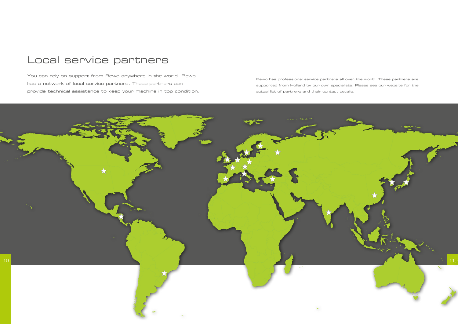

### Local service partners

You can rely on support from Bewo anywhere in the world. Bewo has a network of local service partners. These partners can provide technical assistance to keep your machine in top condition.

Bewo has professional service partners all over the world. These partners are supported from Holland by our own specialists. Please see our website for the actual list of partners and their contact details.